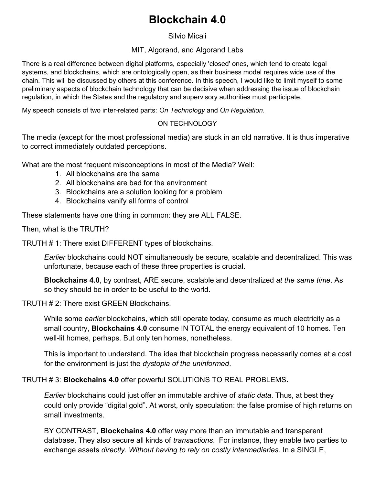# **Blockchain 4.0**

Silvio Micali

#### MIT, Algorand, and Algorand Labs

There is a real difference between digital platforms, especially 'closed' ones, which tend to create legal systems, and blockchains, which are ontologically open, as their business model requires wide use of the chain. This will be discussed by others at this conference. In this speech, I would like to limit myself to some preliminary aspects of blockchain technology that can be decisive when addressing the issue of blockchain regulation, in which the States and the regulatory and supervisory authorities must participate.

My speech consists of two inter-related parts: *On Technology* and *On Regulation*.

## ON TECHNOLOGY

The media (except for the most professional media) are stuck in an old narrative. It is thus imperative to correct immediately outdated perceptions.

What are the most frequent misconceptions in most of the Media? Well:

- 1. All blockchains are the same
- 2. All blockchains are bad for the environment
- 3. Blockchains are a solution looking for a problem
- 4. Blockchains vanify all forms of control

These statements have one thing in common: they are ALL FALSE.

Then, what is the TRUTH?

TRUTH # 1: There exist DIFFERENT types of blockchains.

*Earlier* blockchains could NOT simultaneously be secure, scalable and decentralized. This was unfortunate, because each of these three properties is crucial.

**Blockchains 4.0**, by contrast, ARE secure, scalable and decentralized *at the same time*. As so they should be in order to be useful to the world.

TRUTH # 2: There exist GREEN Blockchains.

While some *earlier* blockchains, which still operate today, consume as much electricity as a small country, **Blockchains 4.0** consume IN TOTAL the energy equivalent of 10 homes. Ten well-lit homes, perhaps. But only ten homes, nonetheless.

This is important to understand. The idea that blockchain progress necessarily comes at a cost for the environment is just the *dystopia of the uninformed*.

#### TRUTH # 3: **Blockchains 4.0** offer powerful SOLUTIONS TO REAL PROBLEMS**.**

*Earlier* blockchains could just offer an immutable archive of *static data*. Thus, at best they could only provide "digital gold". At worst, only speculation: the false promise of high returns on small investments.

BY CONTRAST, **Blockchains 4.0** offer way more than an immutable and transparent database. They also secure all kinds of *transactions*. For instance, they enable two parties to exchange assets *directly. Without having to rely on costly intermediaries.* In a SINGLE,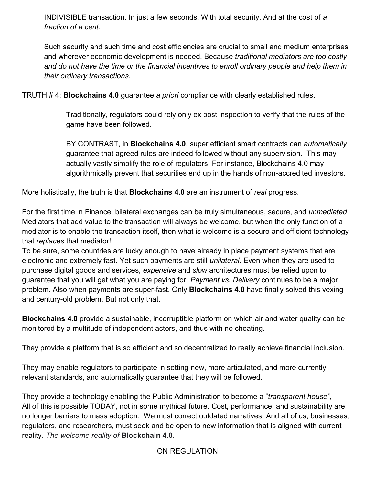INDIVISIBLE transaction. In just a few seconds. With total security. And at the cost of *a fraction of a cent*.

Such security and such time and cost efficiencies are crucial to small and medium enterprises and wherever economic development is needed. Because *traditional mediators are too costly and do not have the time or the financial incentives to enroll ordinary people and help them in their ordinary transactions.* 

TRUTH # 4: **Blockchains 4.0** guarantee *a priori* compliance with clearly established rules.

Traditionally, regulators could rely only ex post inspection to verify that the rules of the game have been followed.

BY CONTRAST, in **Blockchains 4.0**, super efficient smart contracts can *automatically* guarantee that agreed rules are indeed followed without any supervision. This may actually vastly simplify the role of regulators. For instance, Blockchains 4.0 may algorithmically prevent that securities end up in the hands of non-accredited investors.

More holistically, the truth is that **Blockchains 4.0** are an instrument of *real* progress.

For the first time in Finance, bilateral exchanges can be truly simultaneous, secure, and *unmediated*. Mediators that add value to the transaction will always be welcome, but when the only function of a mediator is to enable the transaction itself, then what is welcome is a secure and efficient technology that *replaces* that mediator!

To be sure, some countries are lucky enough to have already in place payment systems that are electronic and extremely fast. Yet such payments are still *unilateral*. Even when they are used to purchase digital goods and services, *expensive* and *slow* architectures must be relied upon to guarantee that you will get what you are paying for. *Payment vs. Delivery* continues to be a major problem. Also when payments are super-fast. Only **Blockchains 4.0** have finally solved this vexing and century-old problem. But not only that.

**Blockchains 4.0** provide a sustainable, incorruptible platform on which air and water quality can be monitored by a multitude of independent actors, and thus with no cheating.

They provide a platform that is so efficient and so decentralized to really achieve financial inclusion.

They may enable regulators to participate in setting new, more articulated, and more currently relevant standards, and automatically guarantee that they will be followed.

They provide a technology enabling the Public Administration to become a "*transparent house",* All of this is possible TODAY, not in some mythical future. Cost, performance, and sustainability are no longer barriers to mass adoption. We must correct outdated narratives. And all of us, businesses, regulators, and researchers, must seek and be open to new information that is aligned with current reality**.** *The welcome reality of* **Blockchain 4.0.**

ON REGULATION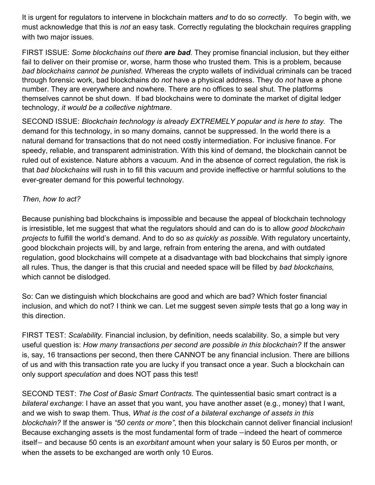It is urgent for regulators to intervene in blockchain matters *and* to do so *correctly*. To begin with, we must acknowledge that this is *not* an easy task. Correctly regulating the blockchain requires grappling with two major issues.

FIRST ISSUE: *Some blockchains out there are bad*. They promise financial inclusion, but they either fail to deliver on their promise or, worse, harm those who trusted them. This is a problem, because *bad blockchains cannot be punished.* Whereas the crypto wallets of individual criminals can be traced through forensic work, bad blockchains do *not* have a physical address. They do *not* have a phone number. They are everywhere and nowhere. There are no offices to seal shut. The platforms themselves cannot be shut down. If bad blockchains were to dominate the market of digital ledger technology, *it would be a collective nightmare*.

SECOND ISSUE: *Blockchain technology is already EXTREMELY popular and is here to stay.* The demand for this technology, in so many domains, cannot be suppressed. In the world there is a natural demand for transactions that do not need costly intermediation. For inclusive finance. For speedy, reliable, and transparent administration. With this kind of demand, the blockchain cannot be ruled out of existence. Nature abhors a vacuum. And in the absence of correct regulation, the risk is that *bad blockchains* will rush in to fill this vacuum and provide ineffective or harmful solutions to the ever-greater demand for this powerful technology.

## *Then, how to act?*

Because punishing bad blockchains is impossible and because the appeal of blockchain technology is irresistible, let me suggest that what the regulators should and can do is to allow *good blockchain projects* to fulfill the world's demand. And to do so *as quickly as possible*. With regulatory uncertainty, good blockchain projects will, by and large, refrain from entering the arena, and with outdated regulation, good blockchains will compete at a disadvantage with bad blockchains that simply ignore all rules. Thus, the danger is that this crucial and needed space will be filled by *bad blockchains,* which cannot be dislodged.

So: Can we distinguish which blockchains are good and which are bad? Which foster financial inclusion, and which do not? I think we can. Let me suggest seven *simple* tests that go a long way in this direction.

FIRST TEST: *Scalability.* Financial inclusion, by definition, needs scalability. So, a simple but very useful question is: *How many transactions per second are possible in this blockchain?* If the answer is, say, 16 transactions per second, then there CANNOT be any financial inclusion. There are billions of us and with this transaction rate you are lucky if you transact once a year. Such a blockchain can only support *speculation* and does NOT pass this test!

SECOND TEST: *The Cost of Basic Smart Contracts.* The quintessential basic smart contract is a *bilateral exchange*: I have an asset that you want, you have another asset (e.g., money) that I want, and we wish to swap them. Thus, *What is the cost of a bilateral exchange of assets in this blockchain?* If the answer is *"50 cents or more"*, then this blockchain cannot deliver financial inclusion! Because exchanging assets is the most fundamental form of trade −indeed the heart of commerce itself− and because 50 cents is an *exorbitant* amount when your salary is 50 Euros per month, or when the assets to be exchanged are worth only 10 Euros.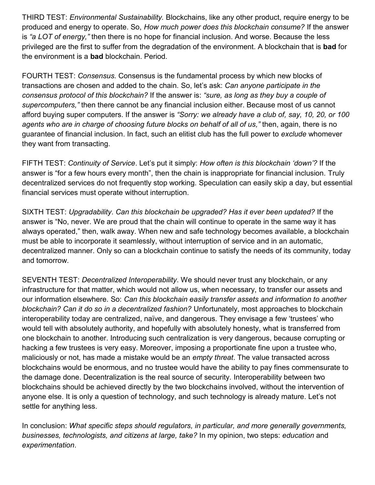THIRD TEST: *Environmental Sustainability.* Blockchains, like any other product, require energy to be produced and energy to operate. So, *How much power does this blockchain consume?* If the answer is *"a LOT of energy,"* then there is no hope for financial inclusion. And worse. Because the less privileged are the first to suffer from the degradation of the environment. A blockchain that is **bad** for the environment is a **bad** blockchain. Period.

FOURTH TEST: *Consensus.* Consensus is the fundamental process by which new blocks of transactions are chosen and added to the chain. So, let's ask: *Can anyone participate in the consensus protocol of this blockchain?* If the answer is: *"sure, as long as they buy a couple of supercomputers,"* then there cannot be any financial inclusion either. Because most of us cannot afford buying super computers. If the answer is *"Sorry: we already have a club of, say, 10, 20, or 100 agents who are in charge of choosing future blocks on behalf of all of us,"* then, again, there is no guarantee of financial inclusion. In fact, such an elitist club has the full power to *exclude* whomever they want from transacting.

FIFTH TEST: *Continuity of Service*. Let's put it simply: *How often is this blockchain 'down'?* If the answer is "for a few hours every month", then the chain is inappropriate for financial inclusion. Truly decentralized services do not frequently stop working. Speculation can easily skip a day, but essential financial services must operate without interruption.

SIXTH TEST: *Upgradability*. *Can this blockchain be upgraded? Has it ever been updated?* If the answer is "No, never. We are proud that the chain will continue to operate in the same way it has always operated," then, walk away. When new and safe technology becomes available, a blockchain must be able to incorporate it seamlessly, without interruption of service and in an automatic, decentralized manner. Only so can a blockchain continue to satisfy the needs of its community, today and tomorrow.

SEVENTH TEST: *Decentralized Interoperability*. We should never trust any blockchain, or any infrastructure for that matter, which would not allow us, when necessary, to transfer our assets and our information elsewhere. So: *Can this blockchain easily transfer assets and information to another blockchain? Can it do so in a decentralized fashion?* Unfortunately, most approaches to blockchain interoperability today are centralized, naïve, and dangerous. They envisage a few 'trustees' who would tell with absolutely authority, and hopefully with absolutely honesty, what is transferred from one blockchain to another. Introducing such centralization is very dangerous, because corrupting or hacking a few trustees is very easy. Moreover, imposing a proportionate fine upon a trustee who, maliciously or not, has made a mistake would be an *empty threat*. The value transacted across blockchains would be enormous, and no trustee would have the ability to pay fines commensurate to the damage done. Decentralization is the real source of security. Interoperability between two blockchains should be achieved directly by the two blockchains involved, without the intervention of anyone else. It is only a question of technology, and such technology is already mature. Let's not settle for anything less.

In conclusion: *What specific steps should regulators, in particular, and more generally governments, businesses, technologists, and citizens at large, take?* In my opinion, two steps: *education* and *experimentation*.